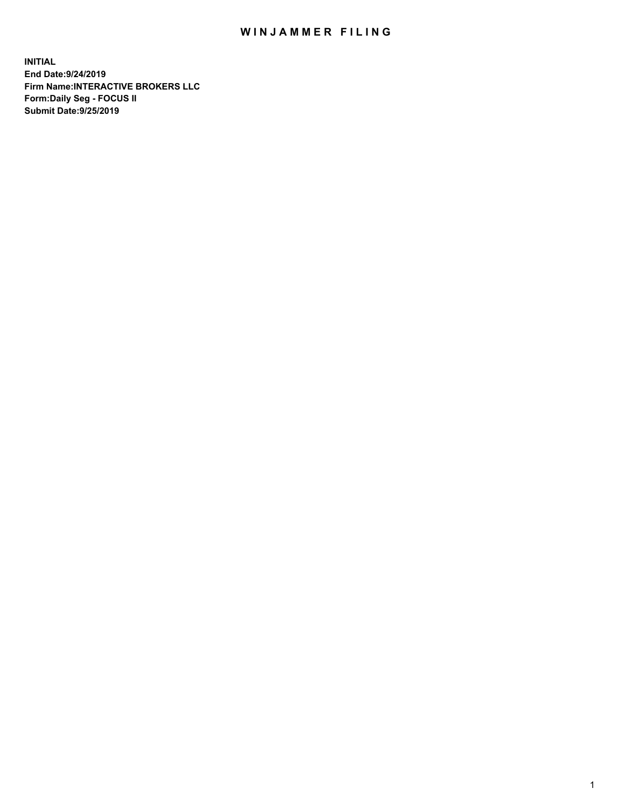## WIN JAMMER FILING

**INITIAL End Date:9/24/2019 Firm Name:INTERACTIVE BROKERS LLC Form:Daily Seg - FOCUS II Submit Date:9/25/2019**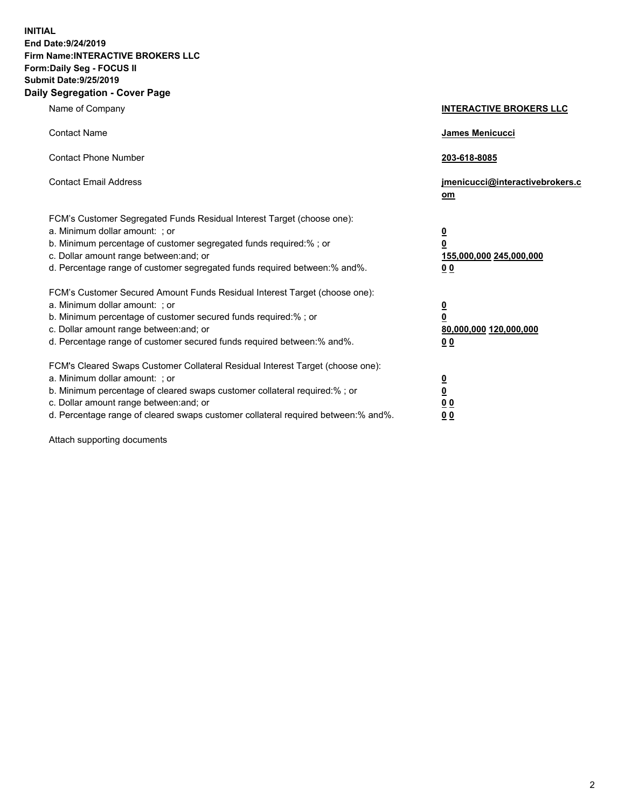**INITIAL End Date:9/24/2019 Firm Name:INTERACTIVE BROKERS LLC Form:Daily Seg - FOCUS II Submit Date:9/25/2019 Daily Segregation - Cover Page**

| Name of Company                                                                                                                                                                                                                                                                                                                | <b>INTERACTIVE BROKERS LLC</b>                                                   |
|--------------------------------------------------------------------------------------------------------------------------------------------------------------------------------------------------------------------------------------------------------------------------------------------------------------------------------|----------------------------------------------------------------------------------|
| <b>Contact Name</b>                                                                                                                                                                                                                                                                                                            | James Menicucci                                                                  |
| <b>Contact Phone Number</b>                                                                                                                                                                                                                                                                                                    | 203-618-8085                                                                     |
| <b>Contact Email Address</b>                                                                                                                                                                                                                                                                                                   | jmenicucci@interactivebrokers.c<br>om                                            |
| FCM's Customer Segregated Funds Residual Interest Target (choose one):<br>a. Minimum dollar amount: ; or<br>b. Minimum percentage of customer segregated funds required:% ; or<br>c. Dollar amount range between: and; or<br>d. Percentage range of customer segregated funds required between:% and%.                         | <u>0</u><br>$\overline{\mathbf{0}}$<br>155,000,000 245,000,000<br>0 <sub>0</sub> |
| FCM's Customer Secured Amount Funds Residual Interest Target (choose one):<br>a. Minimum dollar amount: ; or<br>b. Minimum percentage of customer secured funds required:% ; or<br>c. Dollar amount range between: and; or<br>d. Percentage range of customer secured funds required between:% and%.                           | <u>0</u><br>$\overline{\mathbf{0}}$<br>80,000,000 120,000,000<br>0 <sub>0</sub>  |
| FCM's Cleared Swaps Customer Collateral Residual Interest Target (choose one):<br>a. Minimum dollar amount: ; or<br>b. Minimum percentage of cleared swaps customer collateral required:% ; or<br>c. Dollar amount range between: and; or<br>d. Percentage range of cleared swaps customer collateral required between:% and%. | <u>0</u><br>$\underline{\mathbf{0}}$<br>0 <sub>0</sub><br>0 <sub>0</sub>         |

Attach supporting documents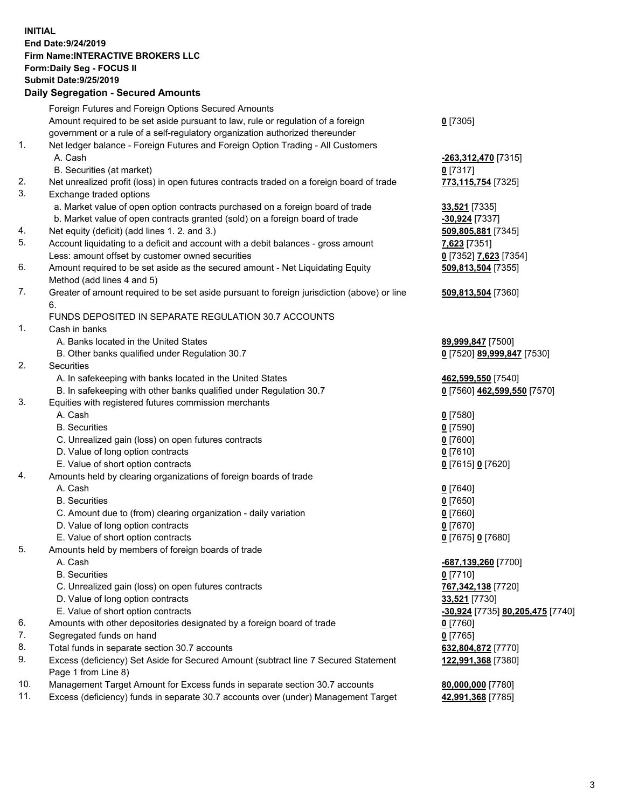## **INITIAL End Date:9/24/2019 Firm Name:INTERACTIVE BROKERS LLC Form:Daily Seg - FOCUS II Submit Date:9/25/2019 Daily Segregation - Secured Amounts**

|     | Dany Segregation - Secured Amounts                                                                         |                                  |
|-----|------------------------------------------------------------------------------------------------------------|----------------------------------|
|     | Foreign Futures and Foreign Options Secured Amounts                                                        |                                  |
|     | Amount required to be set aside pursuant to law, rule or regulation of a foreign                           | $0$ [7305]                       |
|     | government or a rule of a self-regulatory organization authorized thereunder                               |                                  |
| 1.  | Net ledger balance - Foreign Futures and Foreign Option Trading - All Customers                            |                                  |
|     | A. Cash                                                                                                    | <u>-263,312,470</u> [7315]       |
|     | B. Securities (at market)                                                                                  | $0$ [7317]                       |
| 2.  | Net unrealized profit (loss) in open futures contracts traded on a foreign board of trade                  | 773,115,754 [7325]               |
| 3.  | Exchange traded options                                                                                    |                                  |
|     | a. Market value of open option contracts purchased on a foreign board of trade                             | 33,521 [7335]                    |
|     | b. Market value of open contracts granted (sold) on a foreign board of trade                               | -30,924 [7337]                   |
| 4.  | Net equity (deficit) (add lines 1. 2. and 3.)                                                              | 509,805,881 [7345]               |
| 5.  | Account liquidating to a deficit and account with a debit balances - gross amount                          | 7,623 [7351]                     |
|     | Less: amount offset by customer owned securities                                                           | 0 [7352] 7,623 [7354]            |
| 6.  | Amount required to be set aside as the secured amount - Net Liquidating Equity                             | 509,813,504 [7355]               |
|     | Method (add lines 4 and 5)                                                                                 |                                  |
| 7.  | Greater of amount required to be set aside pursuant to foreign jurisdiction (above) or line<br>6.          | 509,813,504 [7360]               |
|     | FUNDS DEPOSITED IN SEPARATE REGULATION 30.7 ACCOUNTS                                                       |                                  |
| 1.  | Cash in banks                                                                                              |                                  |
|     | A. Banks located in the United States                                                                      | 89,999,847 [7500]                |
|     | B. Other banks qualified under Regulation 30.7                                                             | 0 [7520] 89,999,847 [7530]       |
| 2.  | Securities                                                                                                 |                                  |
|     | A. In safekeeping with banks located in the United States                                                  | 462,599,550 [7540]               |
|     | B. In safekeeping with other banks qualified under Regulation 30.7                                         | 0 [7560] 462,599,550 [7570]      |
| 3.  | Equities with registered futures commission merchants                                                      |                                  |
|     | A. Cash                                                                                                    | $0$ [7580]                       |
|     | <b>B.</b> Securities                                                                                       | $0$ [7590]                       |
|     | C. Unrealized gain (loss) on open futures contracts                                                        | $0$ [7600]                       |
|     | D. Value of long option contracts                                                                          | $0$ [7610]                       |
|     | E. Value of short option contracts                                                                         | 0 [7615] 0 [7620]                |
| 4.  | Amounts held by clearing organizations of foreign boards of trade                                          |                                  |
|     | A. Cash                                                                                                    | $0$ [7640]                       |
|     | <b>B.</b> Securities                                                                                       | $0$ [7650]                       |
|     | C. Amount due to (from) clearing organization - daily variation                                            | $0$ [7660]                       |
|     | D. Value of long option contracts                                                                          | $0$ [7670]                       |
|     | E. Value of short option contracts                                                                         | 0 [7675] 0 [7680]                |
| 5.  | Amounts held by members of foreign boards of trade                                                         |                                  |
|     | A. Cash                                                                                                    | -687,139,260 [7700]              |
|     | <b>B.</b> Securities                                                                                       | $0$ [7710]                       |
|     | C. Unrealized gain (loss) on open futures contracts                                                        | 767,342,138 [7720]               |
|     | D. Value of long option contracts                                                                          | 33,521 [7730]                    |
|     | E. Value of short option contracts                                                                         | -30,924 [7735] 80,205,475 [7740] |
| 6.  | Amounts with other depositories designated by a foreign board of trade                                     | $0$ [7760]                       |
| 7.  | Segregated funds on hand                                                                                   | $0$ [7765]                       |
| 8.  | Total funds in separate section 30.7 accounts                                                              | 632,804,872 [7770]               |
| 9.  | Excess (deficiency) Set Aside for Secured Amount (subtract line 7 Secured Statement<br>Page 1 from Line 8) | 122,991,368 [7380]               |
| 10. | Management Target Amount for Excess funds in separate section 30.7 accounts                                | 80,000,000 [7780]                |
| 11. | Excess (deficiency) funds in separate 30.7 accounts over (under) Management Target                         | 42,991,368 [7785]                |
|     |                                                                                                            |                                  |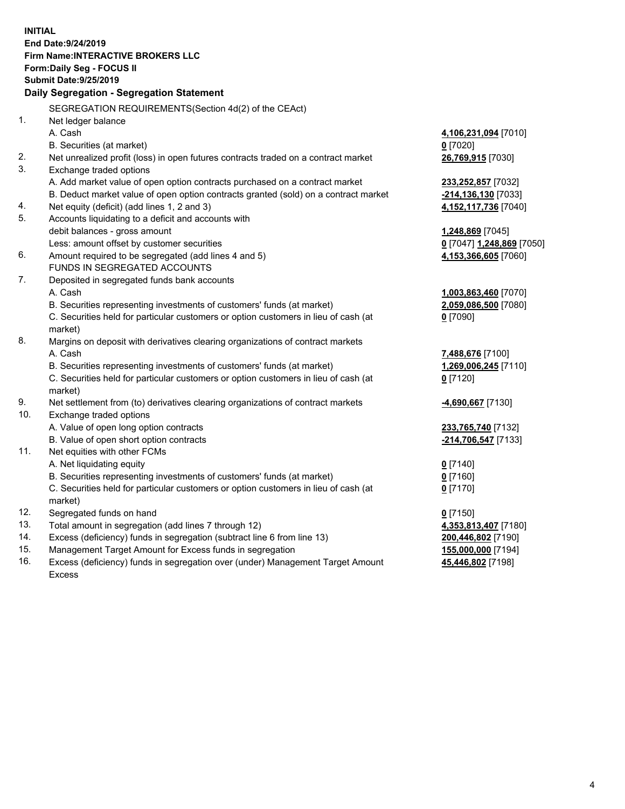**INITIAL End Date:9/24/2019 Firm Name:INTERACTIVE BROKERS LLC Form:Daily Seg - FOCUS II Submit Date:9/25/2019 Daily Segregation - Segregation Statement** SEGREGATION REQUIREMENTS(Section 4d(2) of the CEAct) 1. Net ledger balance A. Cash **4,106,231,094** [7010] B. Securities (at market) **0** [7020] 2. Net unrealized profit (loss) in open futures contracts traded on a contract market **26,769,915** [7030] 3. Exchange traded options A. Add market value of open option contracts purchased on a contract market **233,252,857** [7032] B. Deduct market value of open option contracts granted (sold) on a contract market **-214,136,130** [7033] 4. Net equity (deficit) (add lines 1, 2 and 3) **4,152,117,736** [7040] 5. Accounts liquidating to a deficit and accounts with debit balances - gross amount **1,248,869** [7045] Less: amount offset by customer securities **0** [7047] **1,248,869** [7050] 6. Amount required to be segregated (add lines 4 and 5) **4,153,366,605** [7060] FUNDS IN SEGREGATED ACCOUNTS 7. Deposited in segregated funds bank accounts A. Cash **1,003,863,460** [7070] B. Securities representing investments of customers' funds (at market) **2,059,086,500** [7080] C. Securities held for particular customers or option customers in lieu of cash (at market) **0** [7090] 8. Margins on deposit with derivatives clearing organizations of contract markets A. Cash **7,488,676** [7100] B. Securities representing investments of customers' funds (at market) **1,269,006,245** [7110] C. Securities held for particular customers or option customers in lieu of cash (at market) **0** [7120] 9. Net settlement from (to) derivatives clearing organizations of contract markets **-4,690,667** [7130] 10. Exchange traded options A. Value of open long option contracts **233,765,740** [7132] B. Value of open short option contracts **-214,706,547** [7133] 11. Net equities with other FCMs A. Net liquidating equity **0** [7140] B. Securities representing investments of customers' funds (at market) **0** [7160] C. Securities held for particular customers or option customers in lieu of cash (at market) **0** [7170] 12. Segregated funds on hand **0** [7150] 13. Total amount in segregation (add lines 7 through 12) **4,353,813,407** [7180] 14. Excess (deficiency) funds in segregation (subtract line 6 from line 13) **200,446,802** [7190] 15. Management Target Amount for Excess funds in segregation **155,000,000** [7194]

16. Excess (deficiency) funds in segregation over (under) Management Target Amount Excess

**45,446,802** [7198]